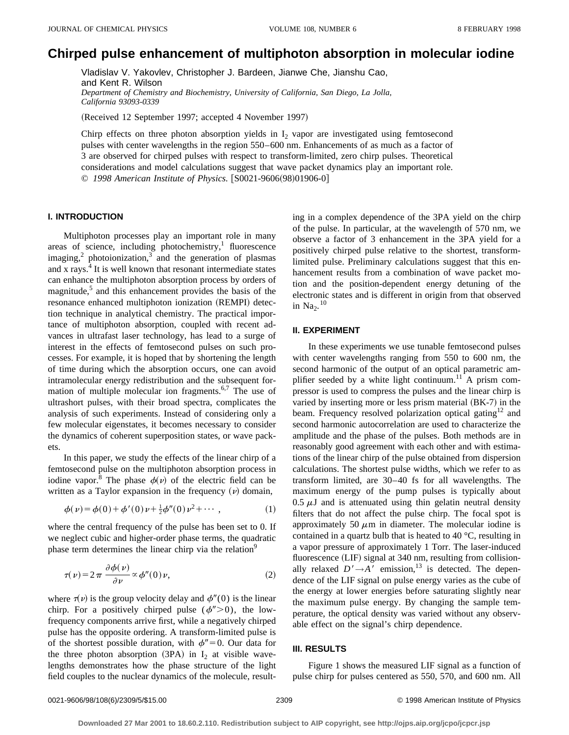# **Chirped pulse enhancement of multiphoton absorption in molecular iodine**

Vladislav V. Yakovlev, Christopher J. Bardeen, Jianwe Che, Jianshu Cao, and Kent R. Wilson *Department of Chemistry and Biochemistry, University of California, San Diego, La Jolla, California 93093-0339*

(Received 12 September 1997; accepted 4 November 1997)

Chirp effects on three photon absorption yields in  $I_2$  vapor are investigated using femtosecond pulses with center wavelengths in the region 550–600 nm. Enhancements of as much as a factor of 3 are observed for chirped pulses with respect to transform-limited, zero chirp pulses. Theoretical considerations and model calculations suggest that wave packet dynamics play an important role. © 1998 American Institute of Physics. [S0021-9606(98)01906-0]

# **I. INTRODUCTION**

Multiphoton processes play an important role in many areas of science, including photochemistry, $<sup>1</sup>$  fluorescence</sup> imaging, $^2$  photoionization, $^3$  and the generation of plasmas and x rays.<sup>4</sup> It is well known that resonant intermediate states can enhance the multiphoton absorption process by orders of magnitude,<sup>5</sup> and this enhancement provides the basis of the resonance enhanced multiphoton ionization (REMPI) detection technique in analytical chemistry. The practical importance of multiphoton absorption, coupled with recent advances in ultrafast laser technology, has lead to a surge of interest in the effects of femtosecond pulses on such processes. For example, it is hoped that by shortening the length of time during which the absorption occurs, one can avoid intramolecular energy redistribution and the subsequent formation of multiple molecular ion fragments.<sup>6,7</sup> The use of ultrashort pulses, with their broad spectra, complicates the analysis of such experiments. Instead of considering only a few molecular eigenstates, it becomes necessary to consider the dynamics of coherent superposition states, or wave packets.

In this paper, we study the effects of the linear chirp of a femtosecond pulse on the multiphoton absorption process in iodine vapor.<sup>8</sup> The phase  $\phi(\nu)$  of the electric field can be written as a Taylor expansion in the frequency  $(v)$  domain,

$$
\phi(\nu) = \phi(0) + \phi'(0)\nu + \frac{1}{2}\phi''(0)\nu^2 + \cdots, \qquad (1)
$$

where the central frequency of the pulse has been set to 0. If we neglect cubic and higher-order phase terms, the quadratic phase term determines the linear chirp via the relation<sup>9</sup>

$$
\tau(\nu) = 2\pi \frac{\partial \phi(\nu)}{\partial \nu} \propto \phi''(0)\nu,
$$
 (2)

where  $\tau(\nu)$  is the group velocity delay and  $\phi''(0)$  is the linear chirp. For a positively chirped pulse  $(\phi''>0)$ , the lowfrequency components arrive first, while a negatively chirped pulse has the opposite ordering. A transform-limited pulse is of the shortest possible duration, with  $\phi''=0$ . Our data for the three photon absorption  $(3PA)$  in I<sub>2</sub> at visible wavelengths demonstrates how the phase structure of the light field couples to the nuclear dynamics of the molecule, resulting in a complex dependence of the 3PA yield on the chirp of the pulse. In particular, at the wavelength of 570 nm, we observe a factor of 3 enhancement in the 3PA yield for a positively chirped pulse relative to the shortest, transformlimited pulse. Preliminary calculations suggest that this enhancement results from a combination of wave packet motion and the position-dependent energy detuning of the electronic states and is different in origin from that observed in  $\text{Na}_2$ .<sup>10</sup>

#### **II. EXPERIMENT**

In these experiments we use tunable femtosecond pulses with center wavelengths ranging from 550 to 600 nm, the second harmonic of the output of an optical parametric amplifier seeded by a white light continuum.<sup>11</sup> A prism compressor is used to compress the pulses and the linear chirp is varied by inserting more or less prism material  $(BK-7)$  in the beam. Frequency resolved polarization optical gating<sup>12</sup> and second harmonic autocorrelation are used to characterize the amplitude and the phase of the pulses. Both methods are in reasonably good agreement with each other and with estimations of the linear chirp of the pulse obtained from dispersion calculations. The shortest pulse widths, which we refer to as transform limited, are 30–40 fs for all wavelengths. The maximum energy of the pump pulses is typically about  $0.5 \mu J$  and is attenuated using thin gelatin neutral density filters that do not affect the pulse chirp. The focal spot is approximately 50  $\mu$ m in diameter. The molecular iodine is contained in a quartz bulb that is heated to 40 °C, resulting in a vapor pressure of approximately 1 Torr. The laser-induced fluorescence  $(LIF)$  signal at 340 nm, resulting from collisionally relaxed  $D' \rightarrow A'$  emission,<sup>13</sup> is detected. The dependence of the LIF signal on pulse energy varies as the cube of the energy at lower energies before saturating slightly near the maximum pulse energy. By changing the sample temperature, the optical density was varied without any observable effect on the signal's chirp dependence.

### **III. RESULTS**

Figure 1 shows the measured LIF signal as a function of pulse chirp for pulses centered as 550, 570, and 600 nm. All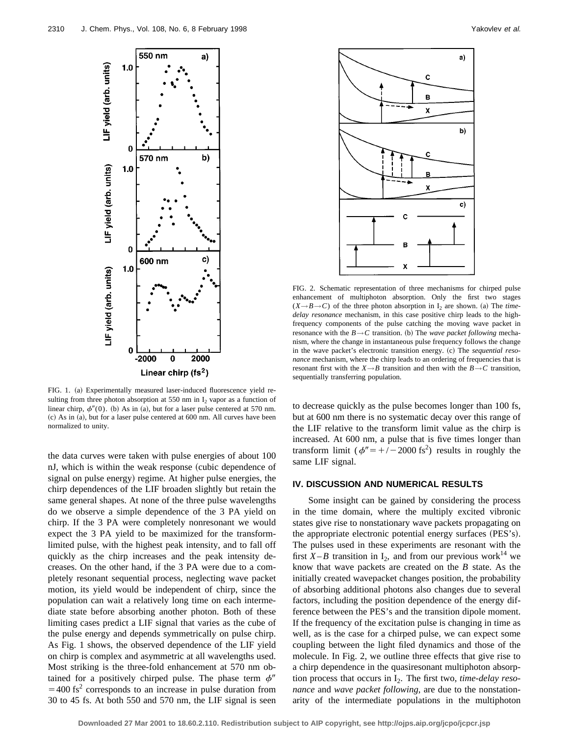

FIG. 1. (a) Experimentally measured laser-induced fluorescence yield resulting from three photon absorption at 550 nm in  $I_2$  vapor as a function of linear chirp,  $\phi''(0)$ . (b) As in (a), but for a laser pulse centered at 570 nm. (c) As in (a), but for a laser pulse centered at 600 nm. All curves have been normalized to unity.

the data curves were taken with pulse energies of about 100 nJ, which is within the weak response (cubic dependence of signal on pulse energy) regime. At higher pulse energies, the chirp dependences of the LIF broaden slightly but retain the same general shapes. At none of the three pulse wavelengths do we observe a simple dependence of the 3 PA yield on chirp. If the 3 PA were completely nonresonant we would expect the 3 PA yield to be maximized for the transformlimited pulse, with the highest peak intensity, and to fall off quickly as the chirp increases and the peak intensity decreases. On the other hand, if the 3 PA were due to a completely resonant sequential process, neglecting wave packet motion, its yield would be independent of chirp, since the population can wait a relatively long time on each intermediate state before absorbing another photon. Both of these limiting cases predict a LIF signal that varies as the cube of the pulse energy and depends symmetrically on pulse chirp. As Fig. 1 shows, the observed dependence of the LIF yield on chirp is complex and asymmetric at all wavelengths used. Most striking is the three-fold enhancement at 570 nm obtained for a positively chirped pulse. The phase term  $\phi''$  $=$  400 fs<sup>2</sup> corresponds to an increase in pulse duration from 30 to 45 fs. At both 550 and 570 nm, the LIF signal is seen



FIG. 2. Schematic representation of three mechanisms for chirped pulse enhancement of multiphoton absorption. Only the first two stages  $(X \rightarrow B \rightarrow C)$  of the three photon absorption in I<sub>2</sub> are shown. (a) The *timedelay resonance* mechanism, in this case positive chirp leads to the highfrequency components of the pulse catching the moving wave packet in resonance with the  $B \rightarrow C$  transition. (b) The *wave packet following* mechanism, where the change in instantaneous pulse frequency follows the change in the wave packet's electronic transition energy. (c) The *sequential resonance* mechanism, where the chirp leads to an ordering of frequencies that is resonant first with the  $X \rightarrow B$  transition and then with the  $B \rightarrow C$  transition, sequentially transferring population.

to decrease quickly as the pulse becomes longer than 100 fs, but at 600 nm there is no systematic decay over this range of the LIF relative to the transform limit value as the chirp is increased. At 600 nm, a pulse that is five times longer than transform limit  $(\phi'' = +/-2000 \text{ fs}^2)$  results in roughly the same LIF signal.

## **IV. DISCUSSION AND NUMERICAL RESULTS**

Some insight can be gained by considering the process in the time domain, where the multiply excited vibronic states give rise to nonstationary wave packets propagating on the appropriate electronic potential energy surfaces  $(PES's)$ . The pulses used in these experiments are resonant with the first  $X - B$  transition in  $I_2$ , and from our previous work<sup>14</sup> we know that wave packets are created on the *B* state. As the initially created wavepacket changes position, the probability of absorbing additional photons also changes due to several factors, including the position dependence of the energy difference between the PES's and the transition dipole moment. If the frequency of the excitation pulse is changing in time as well, as is the case for a chirped pulse, we can expect some coupling between the light filed dynamics and those of the molecule. In Fig. 2, we outline three effects that give rise to a chirp dependence in the quasiresonant multiphoton absorption process that occurs in I2. The first two, *time-delay resonance* and *wave packet following*, are due to the nonstationarity of the intermediate populations in the multiphoton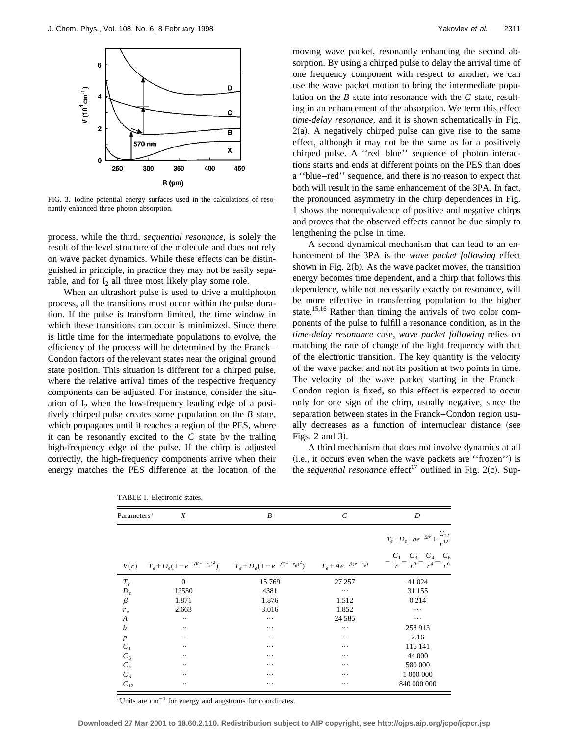

FIG. 3. Iodine potential energy surfaces used in the calculations of resonantly enhanced three photon absorption.

process, while the third, *sequential resonance*, is solely the result of the level structure of the molecule and does not rely on wave packet dynamics. While these effects can be distinguished in principle, in practice they may not be easily separable, and for  $I_2$  all three most likely play some role.

When an ultrashort pulse is used to drive a multiphoton process, all the transitions must occur within the pulse duration. If the pulse is transform limited, the time window in which these transitions can occur is minimized. Since there is little time for the intermediate populations to evolve, the efficiency of the process will be determined by the Franck– Condon factors of the relevant states near the original ground state position. This situation is different for a chirped pulse, where the relative arrival times of the respective frequency components can be adjusted. For instance, consider the situation of  $I_2$  when the low-frequency leading edge of a positively chirped pulse creates some population on the *B* state, which propagates until it reaches a region of the PES, where it can be resonantly excited to the *C* state by the trailing high-frequency edge of the pulse. If the chirp is adjusted correctly, the high-frequency components arrive when their energy matches the PES difference at the location of the moving wave packet, resonantly enhancing the second absorption. By using a chirped pulse to delay the arrival time of one frequency component with respect to another, we can use the wave packet motion to bring the intermediate population on the *B* state into resonance with the *C* state, resulting in an enhancement of the absorption. We term this effect *time-delay resonance*, and it is shown schematically in Fig.  $2(a)$ . A negatively chirped pulse can give rise to the same effect, although it may not be the same as for a positively chirped pulse. A ''red–blue'' sequence of photon interactions starts and ends at different points on the PES than does a ''blue–red'' sequence, and there is no reason to expect that both will result in the same enhancement of the 3PA. In fact, the pronounced asymmetry in the chirp dependences in Fig. 1 shows the nonequivalence of positive and negative chirps and proves that the observed effects cannot be due simply to lengthening the pulse in time.

A second dynamical mechanism that can lead to an enhancement of the 3PA is the *wave packet following* effect shown in Fig.  $2(b)$ . As the wave packet moves, the transition energy becomes time dependent, and a chirp that follows this dependence, while not necessarily exactly on resonance, will be more effective in transferring population to the higher state.<sup>15,16</sup> Rather than timing the arrivals of two color components of the pulse to fulfill a resonance condition, as in the *time-delay resonance* case, *wave packet following* relies on matching the rate of change of the light frequency with that of the electronic transition. The key quantity is the velocity of the wave packet and not its position at two points in time. The velocity of the wave packet starting in the Franck– Condon region is fixed, so this effect is expected to occur only for one sign of the chirp, usually negative, since the separation between states in the Franck–Condon region usually decreases as a function of internuclear distance (see Figs. 2 and  $3$ ).

A third mechanism that does not involve dynamics at all  $(i.e., it occurs even when the wave packets are 'frozen') is$ the *sequential resonance* effect<sup>17</sup> outlined in Fig. 2(c). Sup-

| Parameters <sup>a</sup><br>X |                | B                                                                                                            | $\mathcal{C}_{0}^{(n)}$ | D                                                                                         |
|------------------------------|----------------|--------------------------------------------------------------------------------------------------------------|-------------------------|-------------------------------------------------------------------------------------------|
|                              |                |                                                                                                              |                         | $T_e + D_e + be^{-\beta r^p} + \frac{C_{12}}{r^{12}}$                                     |
| V(r)                         |                | $T_e + D_e(1 - e^{-\beta(r - r_e)^2})$ $T_e + D_e(1 - e^{-\beta(r - r_e)^2})$ $T_e + Ae^{-\beta(r - r_e)^2}$ |                         | $C_1$ $C_3$ $C_4$ $C_6$<br>$-\frac{r}{r} - \frac{1}{r^3} - \frac{1}{r^4} - \frac{1}{r^6}$ |
| $T_e$                        | $\overline{0}$ | 15 769                                                                                                       | 27 257                  | 41 024                                                                                    |
| $D_e$                        | 12550          | 4381                                                                                                         | $\cdots$                | 31 155                                                                                    |
| $\beta$                      | 1.871          | 1.876                                                                                                        | 1.512                   | 0.214                                                                                     |
| $r_e$                        | 2.663          | 3.016                                                                                                        | 1.852                   | $\cdots$                                                                                  |
| $\boldsymbol{A}$             | $\cdots$       | $\cdots$                                                                                                     | 24 5 8 5                | $\cdots$                                                                                  |
| b                            | $\cdots$       | $\cdots$                                                                                                     | $\cdots$                | 258 913                                                                                   |
| $\boldsymbol{p}$             | $\cdots$       | $\cdots$                                                                                                     | $\cdots$                | 2.16                                                                                      |
| $C_1$                        | $\cdots$       | $\cdots$                                                                                                     | $\cdots$                | 116 141                                                                                   |
| $C_3$                        | $\cdots$       | $\cdots$                                                                                                     | $\cdots$                | 44 000                                                                                    |
| $C_4$                        | $\cdots$       | $\cdots$                                                                                                     | $\cdots$                | 580 000                                                                                   |
| $C_6$                        | $\cdots$       | $\cdots$                                                                                                     | $\cdots$                | 1 000 000                                                                                 |
| $C_{12}$                     | $\cdots$       | $\cdots$                                                                                                     | $\cdots$                | 840 000 000                                                                               |

TABLE I. Electronic states.

 $\mathrm{a}_1$ Units are cm<sup>-1</sup> for energy and angstroms for coordinates.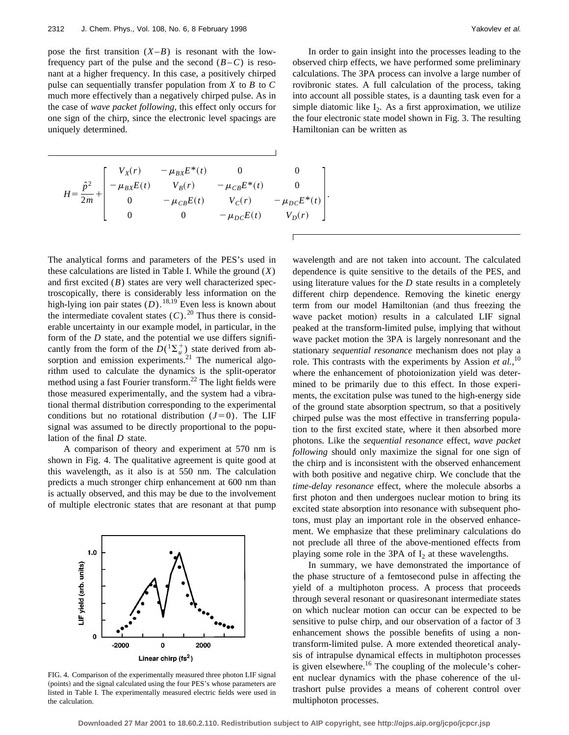pose the first transition  $(X - B)$  is resonant with the lowfrequency part of the pulse and the second  $(B-C)$  is resonant at a higher frequency. In this case, a positively chirped pulse can sequentially transfer population from *X* to *B* to *C* much more effectively than a negatively chirped pulse. As in the case of *wave packet following*, this effect only occurs for one sign of the chirp, since the electronic level spacings are uniquely determined.

$$
H = \frac{\hat{p}^2}{2m} + \begin{bmatrix} V_X(r) & -\mu_{BX}E^*(t) & 0 & 0 \\ -\mu_{BX}E(t) & V_B(r) & -\mu_{CB}E^*(t) & 0 \\ 0 & -\mu_{CB}E(t) & V_C(r) & -\mu_{DC}E^*(t) \\ 0 & 0 & -\mu_{DC}E(t) & V_D(r) \end{bmatrix}
$$

In order to gain insight into the processes leading to the observed chirp effects, we have performed some preliminary calculations. The 3PA process can involve a large number of rovibronic states. A full calculation of the process, taking into account all possible states, is a daunting task even for a simple diatomic like  $I_2$ . As a first approximation, we utilize the four electronic state model shown in Fig. 3. The resulting Hamiltonian can be written as

 $\vert \cdot$ 

The analytical forms and parameters of the PES's used in these calculations are listed in Table I. While the ground (*X*) and first excited (*B*) states are very well characterized spectroscopically, there is considerably less information on the high-lying ion pair states  $(D)$ .<sup>18,19</sup> Even less is known about the intermediate covalent states  $(C)$ .<sup>20</sup> Thus there is considerable uncertainty in our example model, in particular, in the form of the *D* state, and the potential we use differs significantly from the form of the  $D({}^1\Sigma_u^+)$  state derived from absorption and emission experiments.<sup>21</sup> The numerical algorithm used to calculate the dynamics is the split-operator method using a fast Fourier transform.<sup>22</sup> The light fields were those measured experimentally, and the system had a vibrational thermal distribution corresponding to the experimental conditions but no rotational distribution  $(J=0)$ . The LIF signal was assumed to be directly proportional to the population of the final *D* state.

A comparison of theory and experiment at 570 nm is shown in Fig. 4. The qualitative agreement is quite good at this wavelength, as it also is at 550 nm. The calculation predicts a much stronger chirp enhancement at 600 nm than is actually observed, and this may be due to the involvement of multiple electronic states that are resonant at that pump



FIG. 4. Comparison of the experimentally measured three photon LIF signal (points) and the signal calculated using the four PES's whose parameters are listed in Table I. The experimentally measured electric fields were used in the calculation.

wavelength and are not taken into account. The calculated dependence is quite sensitive to the details of the PES, and using literature values for the *D* state results in a completely different chirp dependence. Removing the kinetic energy term from our model Hamiltonian (and thus freezing the wave packet motion) results in a calculated LIF signal peaked at the transform-limited pulse, implying that without wave packet motion the 3PA is largely nonresonant and the stationary *sequential resonance* mechanism does not play a role. This contrasts with the experiments by Assion *et al.*,<sup>10</sup> where the enhancement of photoionization yield was determined to be primarily due to this effect. In those experiments, the excitation pulse was tuned to the high-energy side of the ground state absorption spectrum, so that a positively chirped pulse was the most effective in transferring population to the first excited state, where it then absorbed more photons. Like the *sequential resonance* effect, *wave packet following* should only maximize the signal for one sign of the chirp and is inconsistent with the observed enhancement with both positive and negative chirp. We conclude that the *time-delay resonance* effect, where the molecule absorbs a first photon and then undergoes nuclear motion to bring its excited state absorption into resonance with subsequent photons, must play an important role in the observed enhancement. We emphasize that these preliminary calculations do not preclude all three of the above-mentioned effects from playing some role in the 3PA of  $I_2$  at these wavelengths.

In summary, we have demonstrated the importance of the phase structure of a femtosecond pulse in affecting the yield of a multiphoton process. A process that proceeds through several resonant or quasiresonant intermediate states on which nuclear motion can occur can be expected to be sensitive to pulse chirp, and our observation of a factor of 3 enhancement shows the possible benefits of using a nontransform-limited pulse. A more extended theoretical analysis of intrapulse dynamical effects in multiphoton processes is given elsewhere.<sup>16</sup> The coupling of the molecule's coherent nuclear dynamics with the phase coherence of the ultrashort pulse provides a means of coherent control over multiphoton processes.

**Downloaded 27 Mar 2001 to 18.60.2.110. Redistribution subject to AIP copyright, see http://ojps.aip.org/jcpo/jcpcr.jsp**